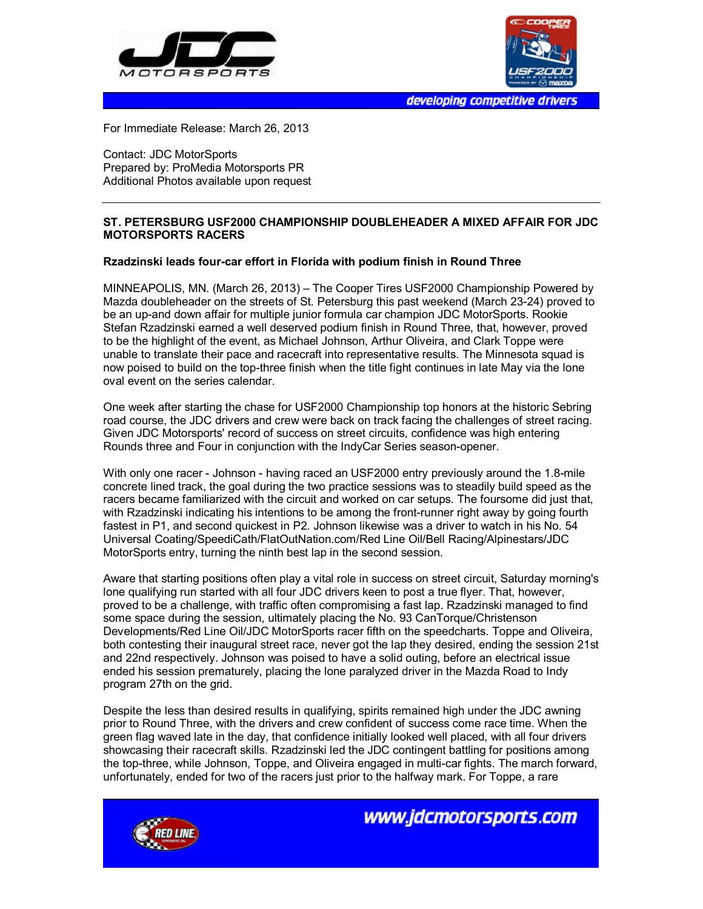



developing competitive drivers

For Immediate Release: March 26, 2013

Contact: JDC MotorSports Prepared by: ProMedia Motorsports PR Additional Photos available upon request

## **ST. PETERSBURG USF2000 CHAMPIONSHIP DOUBLEHEADER A MIXED AFFAIR FOR JDC MOTORSPORTS RACERS**

## **Rzadzinski leads four-car effort in Florida with podium finish in Round Three**

MINNEAPOLIS, MN. (March 26, 2013) – The Cooper Tires USF2000 Championship Powered by Mazda doubleheader on the streets of St. Petersburg this past weekend (March 23-24) proved to be an up-and down affair for multiple junior formula car champion JDC MotorSports. Rookie Stefan Rzadzinski earned a well deserved podium finish in Round Three, that, however, proved to be the highlight of the event, as Michael Johnson, Arthur Oliveira, and Clark Toppe were unable to translate their pace and racecraft into representative results. The Minnesota squad is now poised to build on the top-three finish when the title fight continues in late May via the lone oval event on the series calendar.

One week after starting the chase for USF2000 Championship top honors at the historic Sebring road course, the JDC drivers and crew were back on track facing the challenges of street racing. Given JDC Motorsports' record of success on street circuits, confidence was high entering Rounds three and Four in conjunction with the IndyCar Series season-opener.

With only one racer - Johnson - having raced an USF2000 entry previously around the 1.8-mile concrete lined track, the goal during the two practice sessions was to steadily build speed as the racers became familiarized with the circuit and worked on car setups. The foursome did just that, with Rzadzinski indicating his intentions to be among the front-runner right away by going fourth fastest in P1, and second quickest in P2. Johnson likewise was a driver to watch in his No. 54 Universal Coating/SpeediCath/FlatOutNation.com/Red Line Oil/Bell Racing/Alpinestars/JDC MotorSports entry, turning the ninth best lap in the second session.

Aware that starting positions often play a vital role in success on street circuit, Saturday morning's lone qualifying run started with all four JDC drivers keen to post a true flyer. That, however, proved to be a challenge, with traffic often compromising a fast lap. Rzadzinski managed to find some space during the session, ultimately placing the No. 93 CanTorque/Christenson Developments/Red Line Oil/JDC MotorSports racer fifth on the speedcharts. Toppe and Oliveira, both contesting their inaugural street race, never got the lap they desired, ending the session 21st and 22nd respectively. Johnson was poised to have a solid outing, before an electrical issue ended his session prematurely, placing the lone paralyzed driver in the Mazda Road to Indy program 27th on the grid.

Despite the less than desired results in qualifying, spirits remained high under the JDC awning prior to Round Three, with the drivers and crew confident of success come race time. When the green flag waved late in the day, that confidence initially looked well placed, with all four drivers showcasing their racecraft skills. Rzadzinski led the JDC contingent battling for positions among the top-three, while Johnson, Toppe, and Oliveira engaged in multi-car fights. The march forward, unfortunately, ended for two of the racers just prior to the halfway mark. For Toppe, a rare



www.jdcmotorsports.com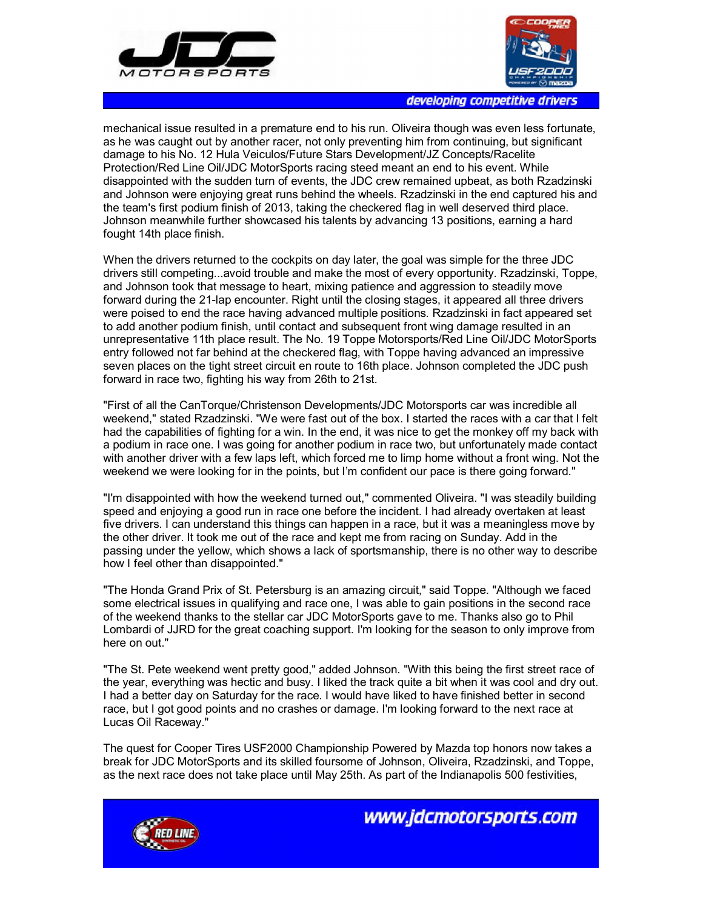



developing competitive drivers

mechanical issue resulted in a premature end to his run. Oliveira though was even less fortunate, as he was caught out by another racer, not only preventing him from continuing, but significant damage to his No. 12 Hula Veiculos/Future Stars Development/JZ Concepts/Racelite Protection/Red Line Oil/JDC MotorSports racing steed meant an end to his event. While disappointed with the sudden turn of events, the JDC crew remained upbeat, as both Rzadzinski and Johnson were enjoying great runs behind the wheels. Rzadzinski in the end captured his and the team's first podium finish of 2013, taking the checkered flag in well deserved third place. Johnson meanwhile further showcased his talents by advancing 13 positions, earning a hard fought 14th place finish.

When the drivers returned to the cockpits on day later, the goal was simple for the three JDC drivers still competing...avoid trouble and make the most of every opportunity. Rzadzinski, Toppe, and Johnson took that message to heart, mixing patience and aggression to steadily move forward during the 21-lap encounter. Right until the closing stages, it appeared all three drivers were poised to end the race having advanced multiple positions. Rzadzinski in fact appeared set to add another podium finish, until contact and subsequent front wing damage resulted in an unrepresentative 11th place result. The No. 19 Toppe Motorsports/Red Line Oil/JDC MotorSports entry followed not far behind at the checkered flag, with Toppe having advanced an impressive seven places on the tight street circuit en route to 16th place. Johnson completed the JDC push forward in race two, fighting his way from 26th to 21st.

"First of all the CanTorque/Christenson Developments/JDC Motorsports car was incredible all weekend," stated Rzadzinski. "We were fast out of the box. I started the races with a car that I felt had the capabilities of fighting for a win. In the end, it was nice to get the monkey off my back with a podium in race one. I was going for another podium in race two, but unfortunately made contact with another driver with a few laps left, which forced me to limp home without a front wing. Not the weekend we were looking for in the points, but I'm confident our pace is there going forward."

"I'm disappointed with how the weekend turned out," commented Oliveira. "I was steadily building speed and enjoying a good run in race one before the incident. I had already overtaken at least five drivers. I can understand this things can happen in a race, but it was a meaningless move by the other driver. It took me out of the race and kept me from racing on Sunday. Add in the passing under the yellow, which shows a lack of sportsmanship, there is no other way to describe how I feel other than disappointed."

"The Honda Grand Prix of St. Petersburg is an amazing circuit," said Toppe. "Although we faced some electrical issues in qualifying and race one, I was able to gain positions in the second race of the weekend thanks to the stellar car JDC MotorSports gave to me. Thanks also go to Phil Lombardi of JJRD for the great coaching support. I'm looking for the season to only improve from here on out."

"The St. Pete weekend went pretty good," added Johnson. "With this being the first street race of the year, everything was hectic and busy. I liked the track quite a bit when it was cool and dry out. I had a better day on Saturday for the race. I would have liked to have finished better in second race, but I got good points and no crashes or damage. I'm looking forward to the next race at Lucas Oil Raceway."

The quest for Cooper Tires USF2000 Championship Powered by Mazda top honors now takes a break for JDC MotorSports and its skilled foursome of Johnson, Oliveira, Rzadzinski, and Toppe, as the next race does not take place until May 25th. As part of the Indianapolis 500 festivities,



www.jdcmotorsports.com